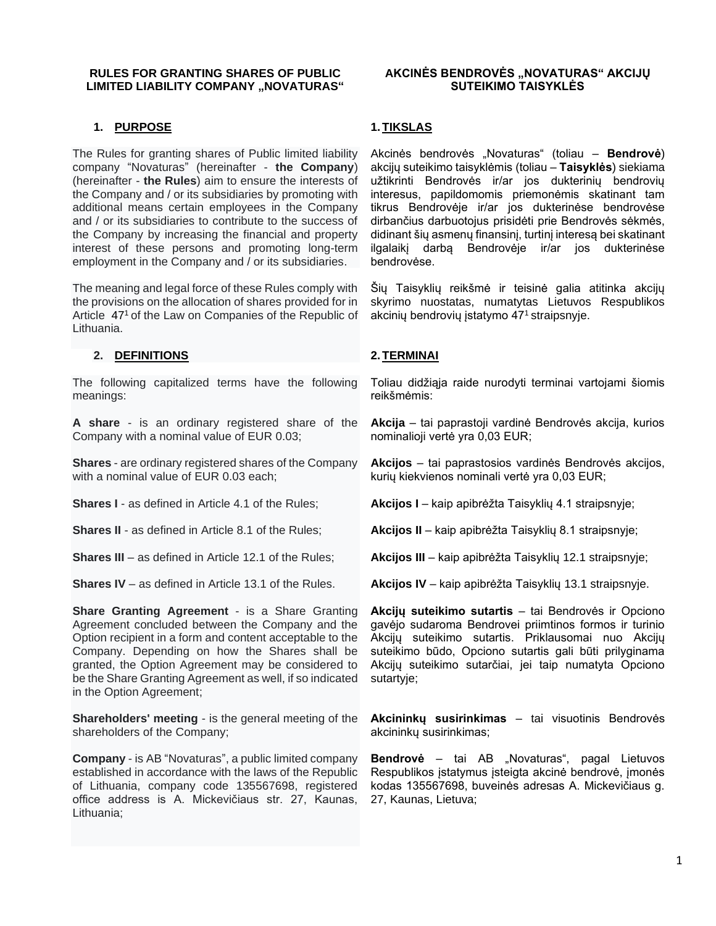#### **RULES FOR GRANTING SHARES OF PUBLIC LIMITED LIABILITY COMPANY .. NOVATURAS"**

## **1. PURPOSE**

The Rules for granting shares of Public limited liability company "Novaturas" (hereinafter - **the Company**) (hereinafter - **the Rules**) aim to ensure the interests of the Company and / or its subsidiaries by promoting with additional means certain employees in the Company and / or its subsidiaries to contribute to the success of the Company by increasing the financial and property interest of these persons and promoting long-term employment in the Company and / or its subsidiaries.

The meaning and legal force of these Rules comply with the provisions on the allocation of shares provided for in Article 47<sup>1</sup> of the Law on Companies of the Republic of Lithuania.

## **2. DEFINITIONS**

The following capitalized terms have the following meanings:

**A share** - is an ordinary registered share of the Company with a nominal value of EUR 0.03;

**Shares** - are ordinary registered shares of the Company with a nominal value of EUR 0.03 each;

**Shares I** - as defined in Article 4.1 of the Rules;

**Shares II** - as defined in Article 8.1 of the Rules;

**Shares III** – as defined in Article 12.1 of the Rules;

**Shares IV** – as defined in Article 13.1 of the Rules.

**Share Granting Agreement** - is a Share Granting Agreement concluded between the Company and the Option recipient in a form and content acceptable to the Company. Depending on how the Shares shall be granted, the Option Agreement may be considered to be the Share Granting Agreement as well, if so indicated in the Option Agreement;

**Shareholders' meeting** - is the general meeting of the shareholders of the Company;

**Company** - is AB "Novaturas", a public limited company established in accordance with the laws of the Republic of Lithuania, company code 135567698, registered office address is A. Mickevičiaus str. 27, Kaunas, Lithuania;

#### **AKCINĖS BENDROVĖS "NOVATURAS" AKCIJU SUTEIKIMO TAISYKLĖS**

#### **1. TIKSLAS**

Akcinės bendrovės "Novaturas" (toliau – **Bendrovė**) akcijų suteikimo taisyklėmis (toliau – **Taisyklės**) siekiama užtikrinti Bendrovės ir/ar jos dukterinių bendrovių interesus, papildomomis priemonėmis skatinant tam tikrus Bendrovėje ir/ar jos dukterinėse bendrovėse dirbančius darbuotojus prisidėti prie Bendrovės sėkmės, didinant šių asmenų finansinį, turtinį interesą bei skatinant ilgalaikį darbą Bendrovėje ir/ar jos dukterinėse bendrovėse.

Šių Taisyklių reikšmė ir teisinė galia atitinka akcijų skyrimo nuostatas, numatytas Lietuvos Respublikos akcinių bendrovių įstatymo 47<sup>1</sup> straipsnyje.

#### **2. TERMINAI**

Toliau didžiąja raide nurodyti terminai vartojami šiomis reikšmėmis:

**Akcija** – tai paprastoji vardinė Bendrovės akcija, kurios nominalioji vertė yra 0,03 EUR;

**Akcijos** – tai paprastosios vardinės Bendrovės akcijos, kurių kiekvienos nominali vertė yra 0,03 EUR;

**Akcijos I** – kaip apibrėžta Taisyklių 4.1 straipsnyje;

**Akcijos II** – kaip apibrėžta Taisyklių 8.1 straipsnyje;

**Akcijos III** – kaip apibrėžta Taisyklių 12.1 straipsnyje;

**Akcijos IV** – kaip apibrėžta Taisyklių 13.1 straipsnyje.

**Akcijų suteikimo sutartis** – tai Bendrovės ir Opciono gavėjo sudaroma Bendrovei priimtinos formos ir turinio Akcijų suteikimo sutartis. Priklausomai nuo Akcijų suteikimo būdo, Opciono sutartis gali būti prilyginama Akcijų suteikimo sutarčiai, jei taip numatyta Opciono sutartyje;

**Akcininkų susirinkimas** – tai visuotinis Bendrovės akcininkų susirinkimas;

**Bendrovė** – tai AB "Novaturas", pagal Lietuvos Respublikos įstatymus įsteigta akcinė bendrovė, įmonės kodas 135567698, buveinės adresas A. Mickevičiaus g. 27, Kaunas, Lietuva;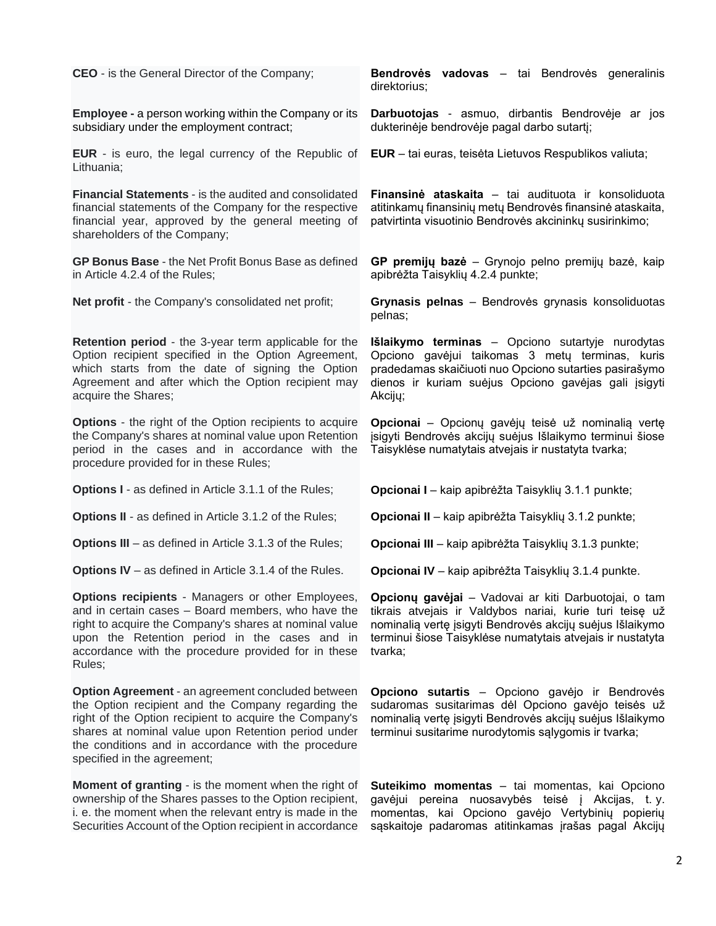**CEO** - is the General Director of the Company; **Employee -** a person working within the Company or its subsidiary under the employment contract; **EUR** - is euro, the legal currency of the Republic of Lithuania; **Financial Statements** - is the audited and consolidated financial statements of the Company for the respective financial year, approved by the general meeting of shareholders of the Company; **GP Bonus Base** - the Net Profit Bonus Base as defined in Article 4.2.4 of the Rules; **Net profit** - the Company's consolidated net profit; **Retention period** - the 3-year term applicable for the Option recipient specified in the Option Agreement, which starts from the date of signing the Option Agreement and after which the Option recipient may acquire the Shares; **Options** - the right of the Option recipients to acquire the Company's shares at nominal value upon Retention period in the cases and in accordance with the procedure provided for in these Rules; **Options I** - as defined in Article 3.1.1 of the Rules; **Options II** - as defined in Article 3.1.2 of the Rules; **Options III** – as defined in Article 3.1.3 of the Rules; **Options IV** – as defined in Article 3.1.4 of the Rules. **Options recipients** - Managers or other Employees, and in certain cases – Board members, who have the right to acquire the Company's shares at nominal value upon the Retention period in the cases and in accordance with the procedure provided for in these Rules; **Option Agreement** - an agreement concluded between the Option recipient and the Company regarding the right of the Option recipient to acquire the Company's shares at nominal value upon Retention period under the conditions and in accordance with the procedure specified in the agreement; **Bendrovės vadovas** – tai Bendrovės generalinis direktorius; **Darbuotojas** - asmuo, dirbantis Bendrovėje ar jos dukterinėje bendrovėje pagal darbo sutartį; **EUR** – tai euras, teisėta Lietuvos Respublikos valiuta; **Finansinė ataskaita** – tai audituota ir konsoliduota atitinkamų finansinių metų Bendrovės finansinė ataskaita, patvirtinta visuotinio Bendrovės akcininkų susirinkimo; **GP premijų bazė** – Grynojo pelno premijų bazė, kaip apibrėžta Taisyklių 4.2.4 punkte; **Grynasis pelnas** – Bendrovės grynasis konsoliduotas pelnas; **Išlaikymo terminas** – Opciono sutartyje nurodytas Opciono gavėjui taikomas 3 metų terminas, kuris pradedamas skaičiuoti nuo Opciono sutarties pasirašymo dienos ir kuriam suėjus Opciono gavėjas gali įsigyti Akcijų; **Opcionai** – Opcionų gavėjų teisė už nominalią vertę įsigyti Bendrovės akcijų suėjus Išlaikymo terminui šiose Taisyklėse numatytais atvejais ir nustatyta tvarka; **Opcionai I** – kaip apibrėžta Taisyklių 3.1.1 punkte; **Opcionai II** – kaip apibrėžta Taisyklių 3.1.2 punkte; **Opcionai III** – kaip apibrėžta Taisyklių 3.1.3 punkte; **Opcionai IV** – kaip apibrėžta Taisyklių 3.1.4 punkte. **Opcionų gavėjai** – Vadovai ar kiti Darbuotojai, o tam tikrais atvejais ir Valdybos nariai, kurie turi teisę už nominalią vertę įsigyti Bendrovės akcijų suėjus Išlaikymo terminui šiose Taisyklėse numatytais atvejais ir nustatyta tvarka; **Opciono sutartis** – Opciono gavėjo ir Bendrovės sudaromas susitarimas dėl Opciono gavėjo teisės už nominalią vertę įsigyti Bendrovės akcijų suėjus Išlaikymo terminui susitarime nurodytomis sąlygomis ir tvarka;

**Moment of granting** - is the moment when the right of ownership of the Shares passes to the Option recipient, i. e. the moment when the relevant entry is made in the Securities Account of the Option recipient in accordance

**Suteikimo momentas** – tai momentas, kai Opciono gavėjui pereina nuosavybės teisė į Akcijas, t. y. momentas, kai Opciono gavėjo Vertybinių popierių sąskaitoje padaromas atitinkamas įrašas pagal Akcijų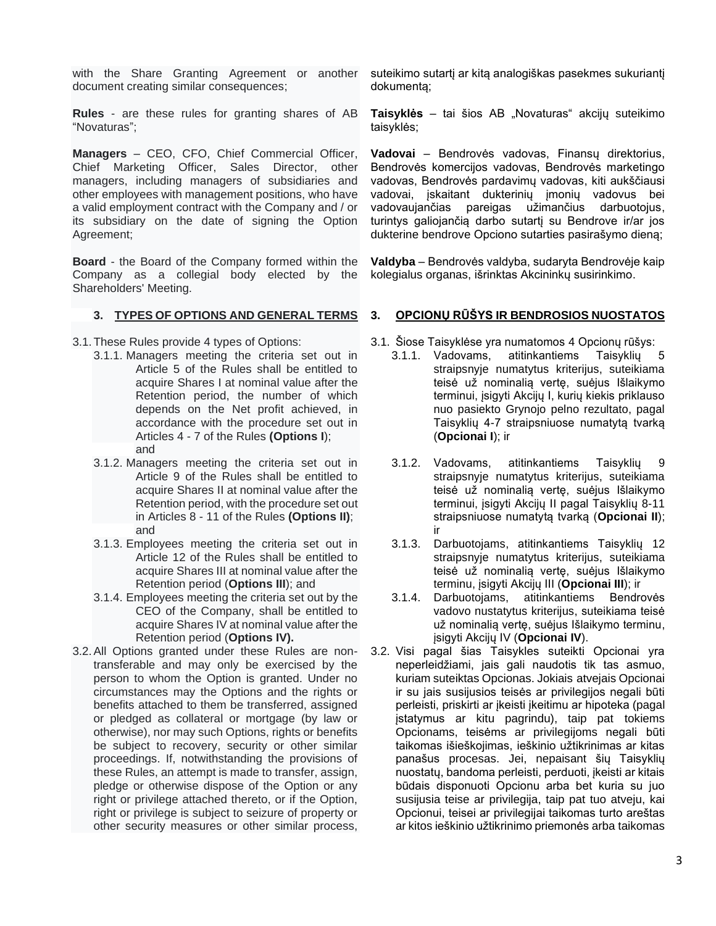with the Share Granting Agreement or another document creating similar consequences;

**Rules** - are these rules for granting shares of AB "Novaturas";

**Managers** – CEO, CFO, Chief Commercial Officer, Chief Marketing Officer, Sales Director, other managers, including managers of subsidiaries and other employees with management positions, who have a valid employment contract with the Company and / or its subsidiary on the date of signing the Option Agreement;

**Board** - the Board of the Company formed within the Company as a collegial body elected by the Shareholders' Meeting.

#### **3. TYPES OF OPTIONS AND GENERAL TERMS**

3.1.These Rules provide 4 types of Options:

- 3.1.1. Managers meeting the criteria set out in Article 5 of the Rules shall be entitled to acquire Shares I at nominal value after the Retention period, the number of which depends on the Net profit achieved, in accordance with the procedure set out in Articles 4 - 7 of the Rules **(Options I**); and
- 3.1.2. Managers meeting the criteria set out in Article 9 of the Rules shall be entitled to acquire Shares II at nominal value after the Retention period, with the procedure set out in Articles 8 - 11 of the Rules **(Options II)**; and
- 3.1.3. Employees meeting the criteria set out in Article 12 of the Rules shall be entitled to acquire Shares III at nominal value after the Retention period (**Options III**); and
- 3.1.4. Employees meeting the criteria set out by the CEO of the Company, shall be entitled to acquire Shares IV at nominal value after the Retention period (**Options IV).**
- 3.2.All Options granted under these Rules are nontransferable and may only be exercised by the person to whom the Option is granted. Under no circumstances may the Options and the rights or benefits attached to them be transferred, assigned or pledged as collateral or mortgage (by law or otherwise), nor may such Options, rights or benefits be subject to recovery, security or other similar proceedings. If, notwithstanding the provisions of these Rules, an attempt is made to transfer, assign, pledge or otherwise dispose of the Option or any right or privilege attached thereto, or if the Option, right or privilege is subject to seizure of property or other security measures or other similar process,

suteikimo sutartį ar kitą analogiškas pasekmes sukuriantį dokumentą;

**Taisyklės** – tai šios AB "Novaturas" akcijų suteikimo taisyklės;

**Vadovai** – Bendrovės vadovas, Finansų direktorius, Bendrovės komercijos vadovas, Bendrovės marketingo vadovas, Bendrovės pardavimų vadovas, kiti aukščiausi vadovai, įskaitant dukterinių įmonių vadovus bei vadovaujančias pareigas užimančius darbuotojus, turintys galiojančią darbo sutartį su Bendrove ir/ar jos dukterine bendrove Opciono sutarties pasirašymo dieną;

**Valdyba** – Bendrovės valdyba, sudaryta Bendrovėje kaip kolegialus organas, išrinktas Akcininkų susirinkimo.

## **3. OPCIONŲ RŪŠYS IR BENDROSIOS NUOSTATOS**

- 3.1. Šiose Taisyklėse yra numatomos 4 Opcionų rūšys:
	- 3.1.1. Vadovams, atitinkantiems Taisyklių 5 straipsnyje numatytus kriterijus, suteikiama teisė už nominalią vertę, suėjus Išlaikymo terminui, įsigyti Akcijų I, kurių kiekis priklauso nuo pasiekto Grynojo pelno rezultato, pagal Taisyklių 4-7 straipsniuose numatytą tvarką (**Opcionai I**); ir
	- 3.1.2. Vadovams, atitinkantiems Taisyklių 9 straipsnyje numatytus kriterijus, suteikiama teisė už nominalią vertę, suėjus Išlaikymo terminui, įsigyti Akcijų II pagal Taisyklių 8-11 straipsniuose numatytą tvarką (**Opcionai II**); ir
	- 3.1.3. Darbuotojams, atitinkantiems Taisyklių 12 straipsnyje numatytus kriterijus, suteikiama teisė už nominalią vertę, suėjus Išlaikymo terminu, įsigyti Akcijų III (**Opcionai III**); ir
	- 3.1.4. Darbuotojams, atitinkantiems Bendrovės vadovo nustatytus kriterijus, suteikiama teisė už nominalią vertę, suėjus Išlaikymo terminu, įsigyti Akcijų IV (**Opcionai IV**).
- 3.2. Visi pagal šias Taisykles suteikti Opcionai yra neperleidžiami, jais gali naudotis tik tas asmuo, kuriam suteiktas Opcionas. Jokiais atvejais Opcionai ir su jais susijusios teisės ar privilegijos negali būti perleisti, priskirti ar įkeisti įkeitimu ar hipoteka (pagal įstatymus ar kitu pagrindu), taip pat tokiems Opcionams, teisėms ar privilegijoms negali būti taikomas išieškojimas, ieškinio užtikrinimas ar kitas panašus procesas. Jei, nepaisant šių Taisyklių nuostatų, bandoma perleisti, perduoti, įkeisti ar kitais būdais disponuoti Opcionu arba bet kuria su juo susijusia teise ar privilegija, taip pat tuo atveju, kai Opcionui, teisei ar privilegijai taikomas turto areštas ar kitos ieškinio užtikrinimo priemonės arba taikomas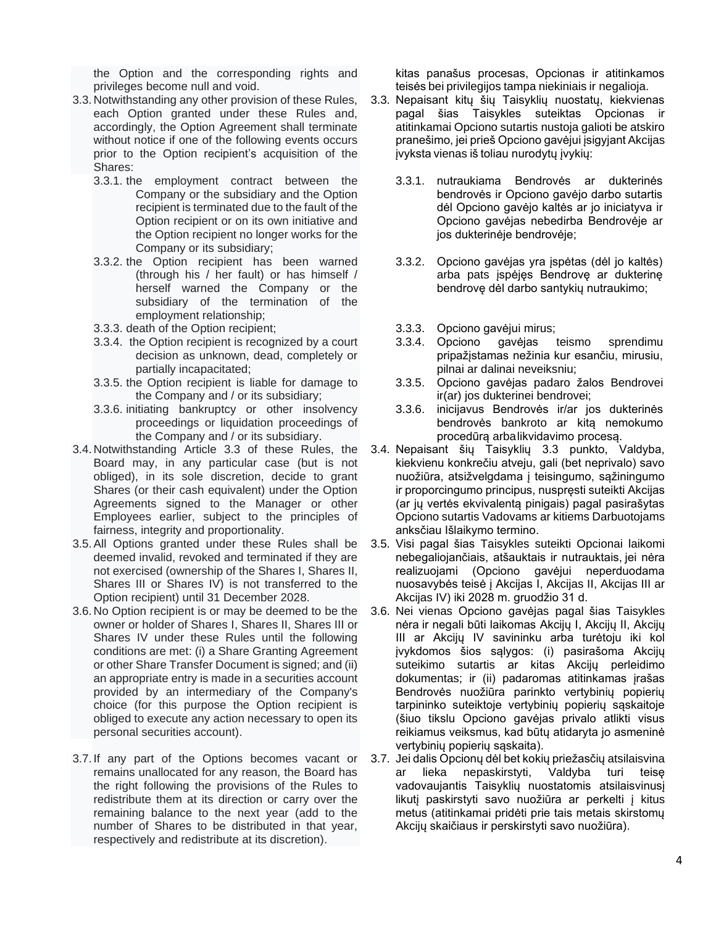the Option and the corresponding rights and privileges become null and void.

- 3.3. Notwithstanding any other provision of these Rules, each Option granted under these Rules and, accordingly, the Option Agreement shall terminate without notice if one of the following events occurs prior to the Option recipient's acquisition of the Shares:
	- 3.3.1. the employment contract between the Company or the subsidiary and the Option recipient is terminated due to the fault of the Option recipient or on its own initiative and the Option recipient no longer works for the Company or its subsidiary;
	- 3.3.2. the Option recipient has been warned (through his / her fault) or has himself / herself warned the Company or the subsidiary of the termination of the employment relationship;
	- 3.3.3. death of the Option recipient;
	- 3.3.4. the Option recipient is recognized by a court decision as unknown, dead, completely or partially incapacitated;
	- 3.3.5. the Option recipient is liable for damage to the Company and / or its subsidiary;
	- 3.3.6. initiating bankruptcy or other insolvency proceedings or liquidation proceedings of the Company and / or its subsidiary.
- 3.4. Notwithstanding Article 3.3 of these Rules, the Board may, in any particular case (but is not obliged), in its sole discretion, decide to grant Shares (or their cash equivalent) under the Option Agreements signed to the Manager or other Employees earlier, subject to the principles of fairness, integrity and proportionality.
- 3.5.All Options granted under these Rules shall be deemed invalid, revoked and terminated if they are not exercised (ownership of the Shares I, Shares II, Shares III or Shares IV) is not transferred to the Option recipient) until 31 December 2028.
- 3.6. No Option recipient is or may be deemed to be the owner or holder of Shares I, Shares II, Shares III or Shares IV under these Rules until the following conditions are met: (i) a Share Granting Agreement or other Share Transfer Document is signed; and (ii) an appropriate entry is made in a securities account provided by an intermediary of the Company's choice (for this purpose the Option recipient is obliged to execute any action necessary to open its personal securities account).
- 3.7. If any part of the Options becomes vacant or remains unallocated for any reason, the Board has the right following the provisions of the Rules to redistribute them at its direction or carry over the remaining balance to the next year (add to the number of Shares to be distributed in that year, respectively and redistribute at its discretion).

kitas panašus procesas, Opcionas ir atitinkamos teisės bei privilegijos tampa niekiniais ir negalioja.

- 3.3. Nepaisant kitų šių Taisyklių nuostatų, kiekvienas pagal šias Taisykles suteiktas Opcionas ir atitinkamai Opciono sutartis nustoja galioti be atskiro pranešimo, jei prieš Opciono gavėjui įsigyjant Akcijas įvyksta vienas iš toliau nurodytų įvykių:
	- 3.3.1. nutraukiama Bendrovės ar dukterinės bendrovės ir Opciono gavėjo darbo sutartis dėl Opciono gavėjo kaltės ar jo iniciatyva ir Opciono gavėjas nebedirba Bendrovėje ar jos dukterinėje bendrovėje;
	- 3.3.2. Opciono gavėjas yra įspėtas (dėl jo kaltės) arba pats įspėjęs Bendrovę ar dukterinę bendrovę dėl darbo santykių nutraukimo;
	- 3.3.3. Opciono gavėjui mirus;
	- 3.3.4. Opciono gavėjas teismo sprendimu pripažįstamas nežinia kur esančiu, mirusiu, pilnai ar dalinai neveiksniu;
	- 3.3.5. Opciono gavėjas padaro žalos Bendrovei ir(ar) jos dukterinei bendrovei;
	- 3.3.6. inicijavus Bendrovės ir/ar jos dukterinės bendrovės bankroto ar kitą nemokumo procedūrą arbalikvidavimo procesą.
- 3.4. Nepaisant šių Taisyklių 3.3 punkto, Valdyba, kiekvienu konkrečiu atveju, gali (bet neprivalo) savo nuožiūra, atsižvelgdama į teisingumo, sąžiningumo ir proporcingumo principus, nuspręsti suteikti Akcijas (ar jų vertės ekvivalentą pinigais) pagal pasirašytas Opciono sutartis Vadovams ar kitiems Darbuotojams anksčiau Išlaikymo termino.
- 3.5. Visi pagal šias Taisykles suteikti Opcionai laikomi nebegaliojančiais, atšauktais ir nutrauktais, jei nėra realizuojami (Opciono gavėjui neperduodama nuosavybės teisė į Akcijas I, Akcijas II, Akcijas III ar Akcijas IV) iki 2028 m. gruodžio 31 d.
- 3.6. Nei vienas Opciono gavėjas pagal šias Taisykles nėra ir negali būti laikomas Akcijų I, Akcijų II, Akcijų III ar Akcijų IV savininku arba turėtoju iki kol įvykdomos šios sąlygos: (i) pasirašoma Akcijų suteikimo sutartis ar kitas Akcijų perleidimo dokumentas; ir (ii) padaromas atitinkamas įrašas Bendrovės nuožiūra parinkto vertybinių popierių tarpininko suteiktoje vertybinių popierių sąskaitoje (šiuo tikslu Opciono gavėjas privalo atlikti visus reikiamus veiksmus, kad būtų atidaryta jo asmeninė vertybinių popierių sąskaita).
- 3.7. Jei dalis Opcionų dėl bet kokių priežasčių atsilaisvina ar lieka nepaskirstyti, Valdyba turi teisę vadovaujantis Taisyklių nuostatomis atsilaisvinusį likutį paskirstyti savo nuožiūra ar perkelti į kitus metus (atitinkamai pridėti prie tais metais skirstomų Akcijų skaičiaus ir perskirstyti savo nuožiūra).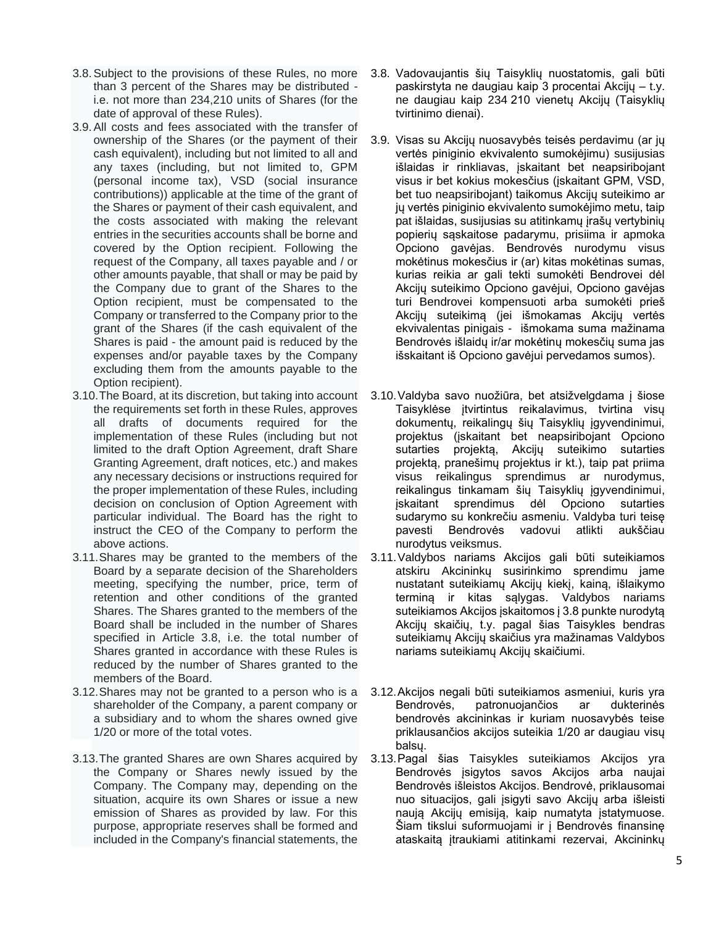- 3.8.Subject to the provisions of these Rules, no more than 3 percent of the Shares may be distributed i.e. not more than 234,210 units of Shares (for the date of approval of these Rules).
- 3.9.All costs and fees associated with the transfer of ownership of the Shares (or the payment of their cash equivalent), including but not limited to all and any taxes (including, but not limited to, GPM (personal income tax), VSD (social insurance contributions)) applicable at the time of the grant of the Shares or payment of their cash equivalent, and the costs associated with making the relevant entries in the securities accounts shall be borne and covered by the Option recipient. Following the request of the Company, all taxes payable and / or other amounts payable, that shall or may be paid by the Company due to grant of the Shares to the Option recipient, must be compensated to the Company or transferred to the Company prior to the grant of the Shares (if the cash equivalent of the Shares is paid - the amount paid is reduced by the expenses and/or payable taxes by the Company excluding them from the amounts payable to the Option recipient).
- 3.10.The Board, at its discretion, but taking into account the requirements set forth in these Rules, approves all drafts of documents required for the implementation of these Rules (including but not limited to the draft Option Agreement, draft Share Granting Agreement, draft notices, etc.) and makes any necessary decisions or instructions required for the proper implementation of these Rules, including decision on conclusion of Option Agreement with particular individual. The Board has the right to instruct the CEO of the Company to perform the above actions.
- 3.11.Shares may be granted to the members of the Board by a separate decision of the Shareholders meeting, specifying the number, price, term of retention and other conditions of the granted Shares. The Shares granted to the members of the Board shall be included in the number of Shares specified in Article 3.8, i.e. the total number of Shares granted in accordance with these Rules is reduced by the number of Shares granted to the members of the Board.
- 3.12.Shares may not be granted to a person who is a shareholder of the Company, a parent company or a subsidiary and to whom the shares owned give 1/20 or more of the total votes.
- 3.13.The granted Shares are own Shares acquired by the Company or Shares newly issued by the Company. The Company may, depending on the situation, acquire its own Shares or issue a new emission of Shares as provided by law. For this purpose, appropriate reserves shall be formed and included in the Company's financial statements, the
- 3.8. Vadovaujantis šių Taisyklių nuostatomis, gali būti paskirstyta ne daugiau kaip 3 procentai Akcijų – t.y. ne daugiau kaip 234 210 vienetų Akcijų (Taisyklių tvirtinimo dienai).
- 3.9. Visas su Akcijų nuosavybės teisės perdavimu (ar jų vertės piniginio ekvivalento sumokėjimu) susijusias išlaidas ir rinkliavas, įskaitant bet neapsiribojant visus ir bet kokius mokesčius (įskaitant GPM, VSD, bet tuo neapsiribojant) taikomus Akcijų suteikimo ar jų vertės piniginio ekvivalento sumokėjimo metu, taip pat išlaidas, susijusias su atitinkamų įrašų vertybinių popierių sąskaitose padarymu, prisiima ir apmoka Opciono gavėjas. Bendrovės nurodymu visus mokėtinus mokesčius ir (ar) kitas mokėtinas sumas, kurias reikia ar gali tekti sumokėti Bendrovei dėl Akcijų suteikimo Opciono gavėjui, Opciono gavėjas turi Bendrovei kompensuoti arba sumokėti prieš Akcijų suteikimą (jei išmokamas Akcijų vertės ekvivalentas pinigais - išmokama suma mažinama Bendrovės išlaidų ir/ar mokėtinų mokesčių suma jas išskaitant iš Opciono gavėjui pervedamos sumos).
- 3.10.Valdyba savo nuožiūra, bet atsižvelgdama į šiose Taisyklėse įtvirtintus reikalavimus, tvirtina visų dokumentų, reikalingų šių Taisyklių įgyvendinimui, projektus (įskaitant bet neapsiribojant Opciono sutarties projektą, Akcijų suteikimo sutarties projektą, pranešimų projektus ir kt.), taip pat priima visus reikalingus sprendimus ar nurodymus, reikalingus tinkamam šių Taisyklių įgyvendinimui, įskaitant sprendimus dėl Opciono sutarties sudarymo su konkrečiu asmeniu. Valdyba turi teisę pavesti Bendrovės vadovui atlikti aukščiau nurodytus veiksmus.
- 3.11.Valdybos nariams Akcijos gali būti suteikiamos atskiru Akcininkų susirinkimo sprendimu jame nustatant suteikiamų Akcijų kiekį, kainą, išlaikymo terminą ir kitas sąlygas. Valdybos nariams suteikiamos Akcijos įskaitomos į 3.8 punkte nurodytą Akcijų skaičių, t.y. pagal šias Taisykles bendras suteikiamų Akcijų skaičius yra mažinamas Valdybos nariams suteikiamų Akcijų skaičiumi.
- 3.12.Akcijos negali būti suteikiamos asmeniui, kuris yra Bendrovės, patronuojančios ar dukterinės bendrovės akcininkas ir kuriam nuosavybės teise priklausančios akcijos suteikia 1/20 ar daugiau visų balsų.
- 3.13.Pagal šias Taisykles suteikiamos Akcijos yra Bendrovės įsigytos savos Akcijos arba naujai Bendrovės išleistos Akcijos. Bendrovė, priklausomai nuo situacijos, gali įsigyti savo Akcijų arba išleisti naują Akcijų emisiją, kaip numatyta įstatymuose. Šiam tikslui suformuojami ir į Bendrovės finansinę ataskaitą įtraukiami atitinkami rezervai, Akcininkų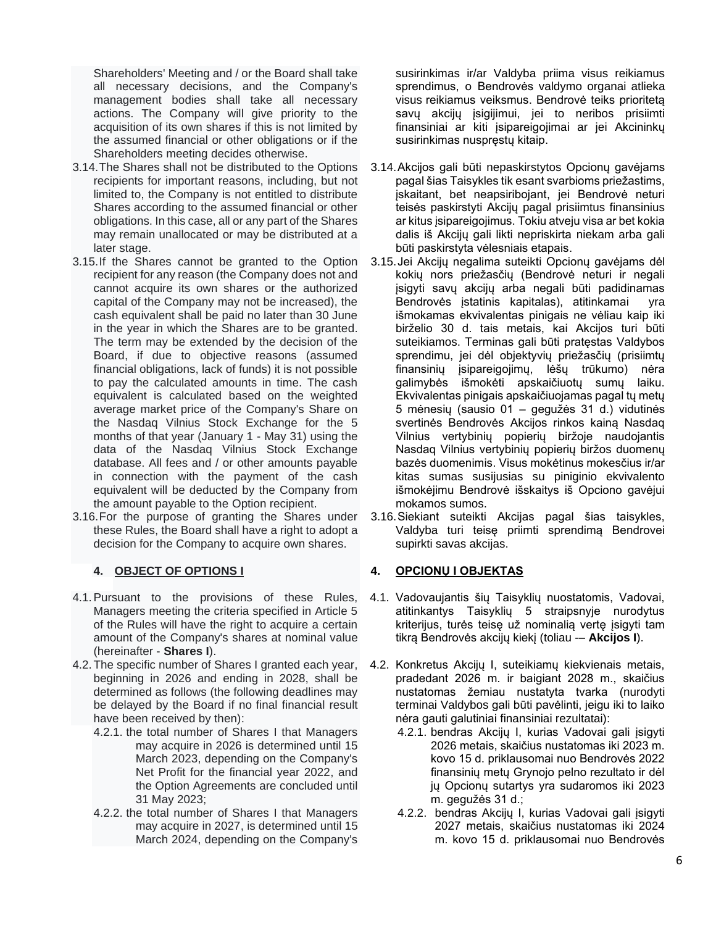Shareholders' Meeting and / or the Board shall take all necessary decisions, and the Company's management bodies shall take all necessary actions. The Company will give priority to the acquisition of its own shares if this is not limited by the assumed financial or other obligations or if the Shareholders meeting decides otherwise.

- 3.14.The Shares shall not be distributed to the Options recipients for important reasons, including, but not limited to, the Company is not entitled to distribute Shares according to the assumed financial or other obligations. In this case, all or any part of the Shares may remain unallocated or may be distributed at a later stage.
- 3.15.If the Shares cannot be granted to the Option recipient for any reason (the Company does not and cannot acquire its own shares or the authorized capital of the Company may not be increased), the cash equivalent shall be paid no later than 30 June in the year in which the Shares are to be granted. The term may be extended by the decision of the Board, if due to objective reasons (assumed financial obligations, lack of funds) it is not possible to pay the calculated amounts in time. The cash equivalent is calculated based on the weighted average market price of the Company's Share on the Nasdaq Vilnius Stock Exchange for the 5 months of that year (January 1 - May 31) using the data of the Nasdaq Vilnius Stock Exchange database. All fees and / or other amounts payable in connection with the payment of the cash equivalent will be deducted by the Company from the amount payable to the Option recipient.
- 3.16.For the purpose of granting the Shares under these Rules, the Board shall have a right to adopt a decision for the Company to acquire own shares.

## **4. OBJECT OF OPTIONS I**

- 4.1.Pursuant to the provisions of these Rules, Managers meeting the criteria specified in Article 5 of the Rules will have the right to acquire a certain amount of the Company's shares at nominal value (hereinafter - **Shares I**).
- 4.2.The specific number of Shares I granted each year, beginning in 2026 and ending in 2028, shall be determined as follows (the following deadlines may be delayed by the Board if no final financial result have been received by then):
	- 4.2.1. the total number of Shares I that Managers may acquire in 2026 is determined until 15 March 2023, depending on the Company's Net Profit for the financial year 2022, and the Option Agreements are concluded until 31 May 2023;
	- 4.2.2. the total number of Shares I that Managers may acquire in 2027, is determined until 15 March 2024, depending on the Company's

susirinkimas ir/ar Valdyba priima visus reikiamus sprendimus, o Bendrovės valdymo organai atlieka visus reikiamus veiksmus. Bendrovė teiks prioritetą savų akcijų įsigijimui, jei to neribos prisiimti finansiniai ar kiti įsipareigojimai ar jei Akcininkų susirinkimas nuspręstų kitaip.

- 3.14.Akcijos gali būti nepaskirstytos Opcionų gavėjams pagal šias Taisykles tik esant svarbioms priežastims, įskaitant, bet neapsiribojant, jei Bendrovė neturi teisės paskirstyti Akcijų pagal prisiimtus finansinius ar kitus įsipareigojimus. Tokiu atveju visa ar bet kokia dalis iš Akcijų gali likti nepriskirta niekam arba gali būti paskirstyta vėlesniais etapais.
- 3.15.Jei Akcijų negalima suteikti Opcionų gavėjams dėl kokių nors priežasčių (Bendrovė neturi ir negali įsigyti savų akcijų arba negali būti padidinamas Bendrovės įstatinis kapitalas), atitinkamai yra išmokamas ekvivalentas pinigais ne vėliau kaip iki birželio 30 d. tais metais, kai Akcijos turi būti suteikiamos. Terminas gali būti pratęstas Valdybos sprendimu, jei dėl objektyvių priežasčių (prisiimtų finansinių įsipareigojimų, lėšų trūkumo) nėra galimybės išmokėti apskaičiuotų sumų laiku. Ekvivalentas pinigais apskaičiuojamas pagal tų metų 5 mėnesių (sausio 01 – gegužės 31 d.) vidutinės svertinės Bendrovės Akcijos rinkos kainą Nasdaq Vilnius vertybinių popierių biržoje naudojantis Nasdaq Vilnius vertybinių popierių biržos duomenų bazės duomenimis. Visus mokėtinus mokesčius ir/ar kitas sumas susijusias su piniginio ekvivalento išmokėjimu Bendrovė išskaitys iš Opciono gavėjui mokamos sumos.
- 3.16.Siekiant suteikti Akcijas pagal šias taisykles, Valdyba turi teisę priimti sprendimą Bendrovei supirkti savas akcijas.

## **4. OPCIONŲ I OBJEKTAS**

- 4.1. Vadovaujantis šių Taisyklių nuostatomis, Vadovai, atitinkantys Taisyklių 5 straipsnyje nurodytus kriterijus, turės teisę už nominalią vertę įsigyti tam tikrą Bendrovės akcijų kiekį (toliau -– **Akcijos I**).
- 4.2. Konkretus Akcijų I, suteikiamų kiekvienais metais, pradedant 2026 m. ir baigiant 2028 m., skaičius nustatomas žemiau nustatyta tvarka (nurodyti terminai Valdybos gali būti pavėlinti, jeigu iki to laiko nėra gauti galutiniai finansiniai rezultatai):
	- 4.2.1. bendras Akcijų I, kurias Vadovai gali įsigyti 2026 metais, skaičius nustatomas iki 2023 m. kovo 15 d. priklausomai nuo Bendrovės 2022 finansinių metų Grynojo pelno rezultato ir dėl jų Opcionų sutartys yra sudaromos iki 2023 m. gegužės 31 d.;
	- 4.2.2. bendras Akcijų I, kurias Vadovai gali įsigyti 2027 metais, skaičius nustatomas iki 2024 m. kovo 15 d. priklausomai nuo Bendrovės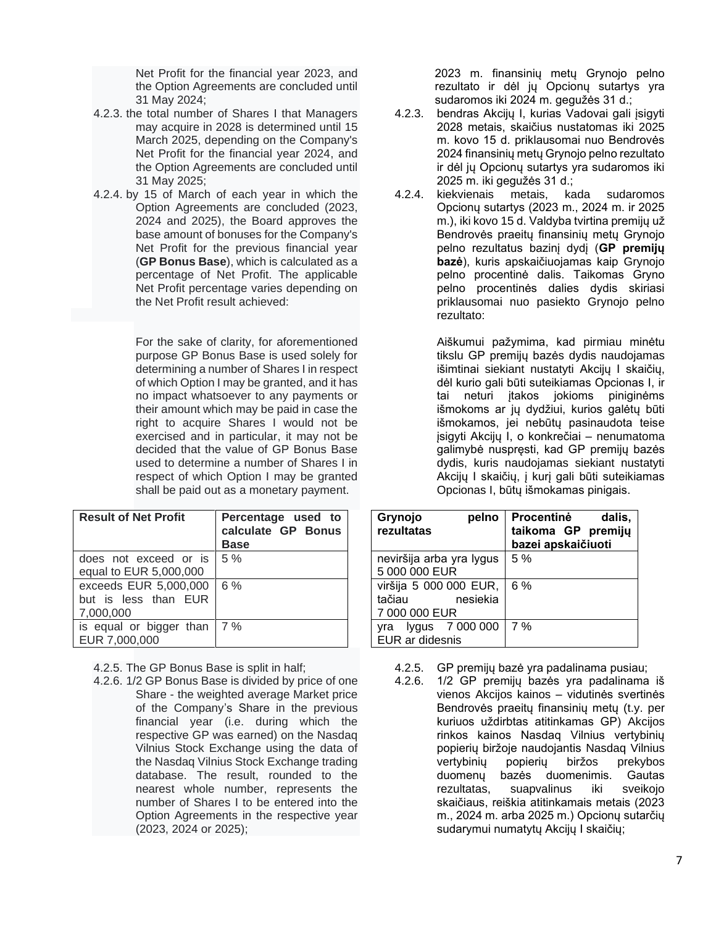Net Profit for the financial year 2023, and the Option Agreements are concluded until 31 May 2024;

- 4.2.3. the total number of Shares I that Managers may acquire in 2028 is determined until 15 March 2025, depending on the Company's Net Profit for the financial year 2024, and the Option Agreements are concluded until 31 May 2025;
- 4.2.4. by 15 of March of each year in which the Option Agreements are concluded (2023, 2024 and 2025), the Board approves the base amount of bonuses for the Company's Net Profit for the previous financial year (**GP Bonus Base**), which is calculated as a percentage of Net Profit. The applicable Net Profit percentage varies depending on the Net Profit result achieved:

For the sake of clarity, for aforementioned purpose GP Bonus Base is used solely for determining a number of Shares I in respect of which Option I may be granted, and it has no impact whatsoever to any payments or their amount which may be paid in case the right to acquire Shares I would not be exercised and in particular, it may not be decided that the value of GP Bonus Base used to determine a number of Shares I in respect of which Option I may be granted shall be paid out as a monetary payment.

| <b>Result of Net Profit</b>                                | Percentage used to<br>calculate GP Bonus<br><b>Base</b> |
|------------------------------------------------------------|---------------------------------------------------------|
| does not exceed or is<br>equal to EUR 5,000,000            | 5%                                                      |
| exceeds EUR 5,000,000<br>but is less than EUR<br>7,000,000 | 6 %                                                     |
| is equal or bigger than<br>EUR 7,000,000                   | 17%                                                     |

4.2.5. The GP Bonus Base is split in half;

4.2.6. 1/2 GP Bonus Base is divided by price of one Share - the weighted average Market price of the Company's Share in the previous financial year (i.e. during which the respective GP was earned) on the Nasdaq Vilnius Stock Exchange using the data of the Nasdaq Vilnius Stock Exchange trading database. The result, rounded to the nearest whole number, represents the number of Shares I to be entered into the Option Agreements in the respective year (2023, 2024 or 2025);

2023 m. finansinių metų Grynojo pelno rezultato ir dėl jų Opcionų sutartys yra sudaromos iki 2024 m. gegužės 31 d.;

- 4.2.3. bendras Akcijų I, kurias Vadovai gali įsigyti 2028 metais, skaičius nustatomas iki 2025 m. kovo 15 d. priklausomai nuo Bendrovės 2024 finansinių metų Grynojo pelno rezultato ir dėl jų Opcionų sutartys yra sudaromos iki 2025 m. iki gegužės 31 d.;
- 4.2.4. kiekvienais metais, kada sudaromos Opcionų sutartys (2023 m., 2024 m. ir 2025 m.), iki kovo 15 d. Valdyba tvirtina premijų už Bendrovės praeitų finansinių metų Grynojo pelno rezultatus bazinį dydį (**GP premijų bazė**), kuris apskaičiuojamas kaip Grynojo pelno procentinė dalis. Taikomas Gryno pelno procentinės dalies dydis skiriasi priklausomai nuo pasiekto Grynojo pelno rezultato:

Aiškumui pažymima, kad pirmiau minėtu tikslu GP premijų bazės dydis naudojamas išimtinai siekiant nustatyti Akcijų I skaičių, dėl kurio gali būti suteikiamas Opcionas I, ir tai neturi įtakos jokioms piniginėms išmokoms ar jų dydžiui, kurios galėtų būti išmokamos, jei nebūtų pasinaudota teise įsigyti Akcijų I, o konkrečiai – nenumatoma galimybė nuspręsti, kad GP premijų bazės dydis, kuris naudojamas siekiant nustatyti Akcijų I skaičių, į kurį gali būti suteikiamas Opcionas I, būtų išmokamas pinigais.

| Grynojo<br>pelno<br>rezultatas | dalis,<br>Procentinė<br>taikoma GP premijų<br>bazei apskaičiuoti |
|--------------------------------|------------------------------------------------------------------|
| neviršija arba yra lygus       | 5%                                                               |
| 5 000 000 EUR                  |                                                                  |
| viršija 5 000 000 EUR,         | 6 %                                                              |
| nesiekia<br>tačiau             |                                                                  |
| 7 000 000 EUR                  |                                                                  |
| yra lygus 7 000 000            | 7%                                                               |
| EUR ar didesnis                |                                                                  |

- 4.2.5. GP premijų bazė yra padalinama pusiau;
- 4.2.6. 1/2 GP premijų bazės yra padalinama iš vienos Akcijos kainos – vidutinės svertinės Bendrovės praeitų finansinių metų (t.y. per kuriuos uždirbtas atitinkamas GP) Akcijos rinkos kainos Nasdaq Vilnius vertybinių popierių biržoje naudojantis Nasdaq Vilnius vertybinių popierių biržos prekybos duomenų bazės duomenimis. Gautas rezultatas, suapvalinus iki sveikojo skaičiaus, reiškia atitinkamais metais (2023 m., 2024 m. arba 2025 m.) Opcionų sutarčių sudarymui numatytų Akcijų I skaičių;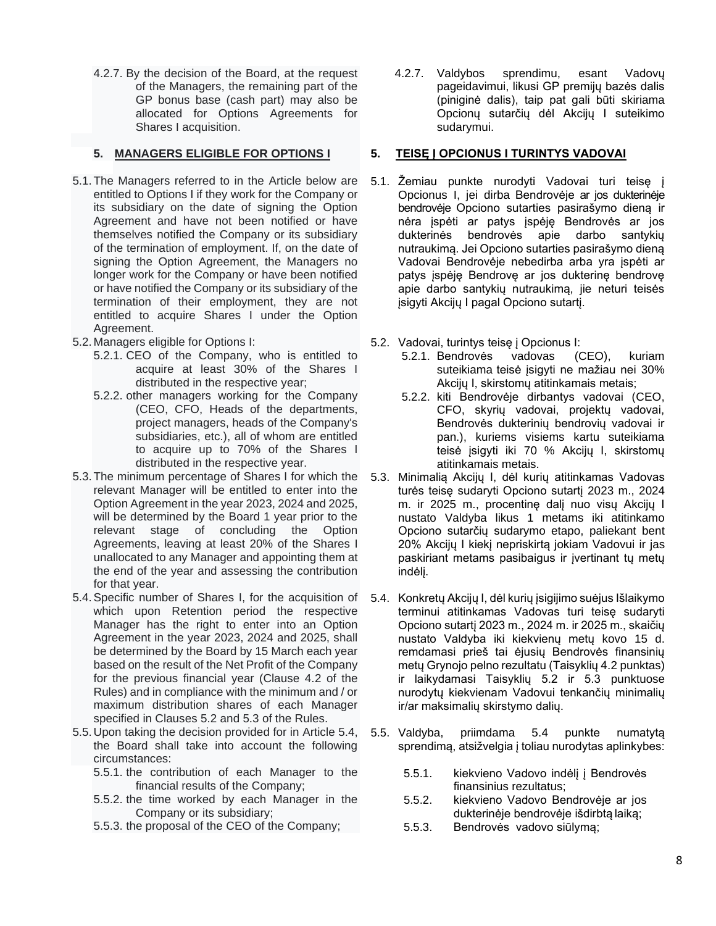4.2.7. By the decision of the Board, at the request of the Managers, the remaining part of the GP bonus base (cash part) may also be allocated for Options Agreements for Shares I acquisition.

## **5. MANAGERS ELIGIBLE FOR OPTIONS I**

- 5.1.The Managers referred to in the Article below are entitled to Options I if they work for the Company or its subsidiary on the date of signing the Option Agreement and have not been notified or have themselves notified the Company or its subsidiary of the termination of employment. If, on the date of signing the Option Agreement, the Managers no longer work for the Company or have been notified or have notified the Company or its subsidiary of the termination of their employment, they are not entitled to acquire Shares I under the Option Agreement.
- 5.2. Managers eligible for Options I:
	- 5.2.1. CEO of the Company, who is entitled to acquire at least 30% of the Shares I distributed in the respective year;
	- 5.2.2. other managers working for the Company (CEO, CFO, Heads of the departments, project managers, heads of the Company's subsidiaries, etc.), all of whom are entitled to acquire up to 70% of the Shares I distributed in the respective year.
- 5.3.The minimum percentage of Shares I for which the relevant Manager will be entitled to enter into the Option Agreement in the year 2023, 2024 and 2025, will be determined by the Board 1 year prior to the relevant stage of concluding the Option Agreements, leaving at least 20% of the Shares I unallocated to any Manager and appointing them at the end of the year and assessing the contribution for that year.
- 5.4.Specific number of Shares I, for the acquisition of which upon Retention period the respective Manager has the right to enter into an Option Agreement in the year 2023, 2024 and 2025, shall be determined by the Board by 15 March each year based on the result of the Net Profit of the Company for the previous financial year (Clause 4.2 of the Rules) and in compliance with the minimum and / or maximum distribution shares of each Manager specified in Clauses 5.2 and 5.3 of the Rules.
- 5.5. Upon taking the decision provided for in Article 5.4, the Board shall take into account the following circumstances:
	- 5.5.1. the contribution of each Manager to the financial results of the Company;
	- 5.5.2. the time worked by each Manager in the Company or its subsidiary;
	- 5.5.3. the proposal of the CEO of the Company;

4.2.7. Valdybos sprendimu, esant Vadovų pageidavimui, likusi GP premijų bazės dalis (piniginė dalis), taip pat gali būti skiriama Opcionų sutarčių dėl Akcijų I suteikimo sudarymui.

## **5. TEISĘ Į OPCIONUS I TURINTYS VADOVAI**

- 5.1. Žemiau punkte nurodyti Vadovai turi teisę į Opcionus I, jei dirba Bendrovėje ar jos dukterinėje bendrovėje Opciono sutarties pasirašymo dieną ir nėra įspėti ar patys įspėję Bendrovės ar jos dukterinės bendrovės apie darbo santykių nutraukimą. Jei Opciono sutarties pasirašymo dieną Vadovai Bendrovėje nebedirba arba yra įspėti ar patys įspėję Bendrovę ar jos dukterinę bendrovę apie darbo santykių nutraukimą, jie neturi teisės įsigyti Akcijų I pagal Opciono sutartį.
- 5.2. Vadovai, turintys teisę į Opcionus I:
	- 5.2.1. Bendrovės vadovas (CEO), kuriam suteikiama teisė įsigyti ne mažiau nei 30% Akcijų I, skirstomų atitinkamais metais;
	- 5.2.2. kiti Bendrovėje dirbantys vadovai (CEO, CFO, skyrių vadovai, projektų vadovai, Bendrovės dukterinių bendrovių vadovai ir pan.), kuriems visiems kartu suteikiama teisė įsigyti iki 70 % Akcijų I, skirstomų atitinkamais metais.
- 5.3. Minimalią Akcijų I, dėl kurių atitinkamas Vadovas turės teisę sudaryti Opciono sutartį 2023 m., 2024 m. ir 2025 m., procentinę dalį nuo visų Akcijų I nustato Valdyba likus 1 metams iki atitinkamo Opciono sutarčių sudarymo etapo, paliekant bent 20% Akcijų I kiekį nepriskirtą jokiam Vadovui ir jas paskiriant metams pasibaigus ir įvertinant tų metų indėlį.
- 5.4. Konkretų Akcijų I, dėl kurių įsigijimo suėjus Išlaikymo terminui atitinkamas Vadovas turi teisę sudaryti Opciono sutartį 2023 m., 2024 m. ir 2025 m., skaičių nustato Valdyba iki kiekvienų metų kovo 15 d. remdamasi prieš tai ėjusių Bendrovės finansinių metų Grynojo pelno rezultatu (Taisyklių 4.2 punktas) ir laikydamasi Taisyklių 5.2 ir 5.3 punktuose nurodytų kiekvienam Vadovui tenkančių minimalių ir/ar maksimalių skirstymo dalių.
- 5.5. Valdyba, priimdama 5.4 punkte numatytą sprendimą, atsižvelgia į toliau nurodytas aplinkybes:
	- 5.5.1. kiekvieno Vadovo indėlį į Bendrovės finansinius rezultatus;
	- 5.5.2. kiekvieno Vadovo Bendrovėje ar jos dukterinėje bendrovėje išdirbtą laiką;
	- 5.5.3. Bendrovės vadovo siūlymą;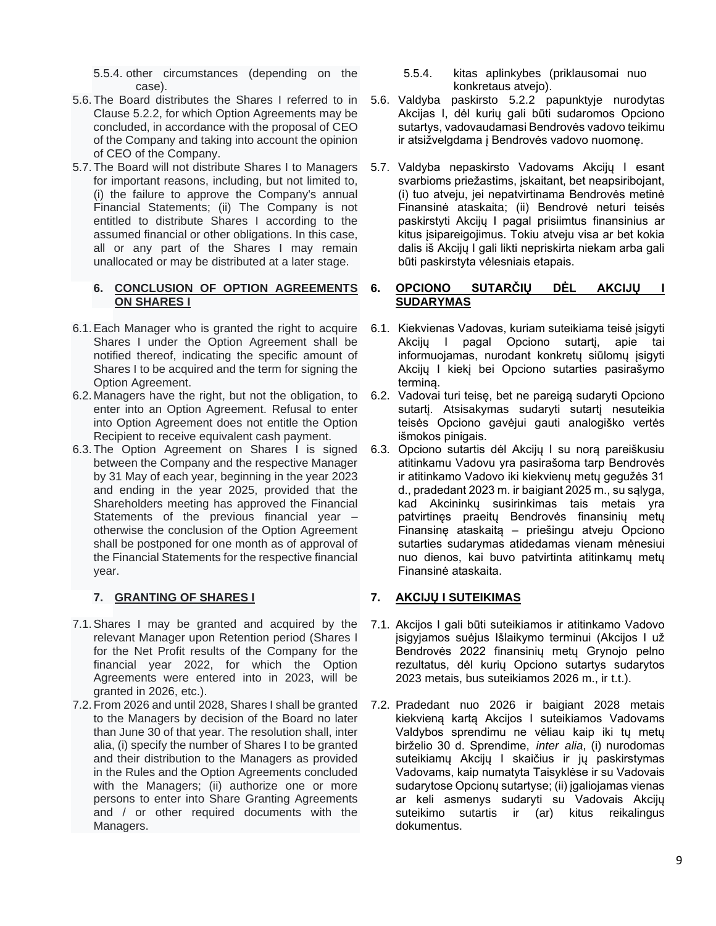5.5.4. other circumstances (depending on the case).

- 5.6.The Board distributes the Shares I referred to in Clause 5.2.2, for which Option Agreements may be concluded, in accordance with the proposal of CEO of the Company and taking into account the opinion of CEO of the Company.
- 5.7.The Board will not distribute Shares I to Managers for important reasons, including, but not limited to, (i) the failure to approve the Company's annual Financial Statements; (ii) The Company is not entitled to distribute Shares I according to the assumed financial or other obligations. In this case, all or any part of the Shares I may remain unallocated or may be distributed at a later stage.

#### **6. CONCLUSION OF OPTION AGREEMENTS ON SHARES I**

- 6.1.Each Manager who is granted the right to acquire Shares I under the Option Agreement shall be notified thereof, indicating the specific amount of Shares I to be acquired and the term for signing the Option Agreement.
- 6.2. Managers have the right, but not the obligation, to enter into an Option Agreement. Refusal to enter into Option Agreement does not entitle the Option Recipient to receive equivalent cash payment.
- 6.3.The Option Agreement on Shares I is signed between the Company and the respective Manager by 31 May of each year, beginning in the year 2023 and ending in the year 2025, provided that the Shareholders meeting has approved the Financial Statements of the previous financial year – otherwise the conclusion of the Option Agreement shall be postponed for one month as of approval of the Financial Statements for the respective financial year.

# **7. GRANTING OF SHARES I**

- 7.1.Shares I may be granted and acquired by the relevant Manager upon Retention period (Shares I for the Net Profit results of the Company for the financial year 2022, for which the Option Agreements were entered into in 2023, will be granted in 2026, etc.).
- 7.2.From 2026 and until 2028, Shares I shall be granted to the Managers by decision of the Board no later than June 30 of that year. The resolution shall, inter alia, (i) specify the number of Shares I to be granted and their distribution to the Managers as provided in the Rules and the Option Agreements concluded with the Managers; (ii) authorize one or more persons to enter into Share Granting Agreements and / or other required documents with the Managers.
- 5.5.4. kitas aplinkybes (priklausomai nuo konkretaus atvejo).
- 5.6. Valdyba paskirsto 5.2.2 papunktyje nurodytas Akcijas I, dėl kurių gali būti sudaromos Opciono sutartys, vadovaudamasi Bendrovės vadovo teikimu ir atsižvelgdama į Bendrovės vadovo nuomonę.
- 5.7. Valdyba nepaskirsto Vadovams Akcijų I esant svarbioms priežastims, įskaitant, bet neapsiribojant, (i) tuo atveju, jei nepatvirtinama Bendrovės metinė Finansinė ataskaita; (ii) Bendrovė neturi teisės paskirstyti Akcijų I pagal prisiimtus finansinius ar kitus įsipareigojimus. Tokiu atveju visa ar bet kokia dalis iš Akcijų I gali likti nepriskirta niekam arba gali būti paskirstyta vėlesniais etapais.

#### **6. OPCIONO SUTARČIŲ DĖL AKCIJŲ I SUDARYMAS**

- 6.1. Kiekvienas Vadovas, kuriam suteikiama teisė įsigyti Akcijų I pagal Opciono sutartį, apie tai informuojamas, nurodant konkretų siūlomų įsigyti Akcijų I kiekį bei Opciono sutarties pasirašymo terminą.
- 6.2. Vadovai turi teisę, bet ne pareigą sudaryti Opciono sutartį. Atsisakymas sudaryti sutartį nesuteikia teisės Opciono gavėjui gauti analogiško vertės išmokos pinigais.
- 6.3. Opciono sutartis dėl Akcijų I su norą pareiškusiu atitinkamu Vadovu yra pasirašoma tarp Bendrovės ir atitinkamo Vadovo iki kiekvienų metų gegužės 31 d., pradedant 2023 m. ir baigiant 2025 m., su sąlyga, kad Akcininkų susirinkimas tais metais yra patvirtinęs praeitų Bendrovės finansinių metų Finansinę ataskaitą – priešingu atveju Opciono sutarties sudarymas atidedamas vienam mėnesiui nuo dienos, kai buvo patvirtinta atitinkamų metų Finansinė ataskaita.

# **7. AKCIJŲ I SUTEIKIMAS**

- 7.1. Akcijos I gali būti suteikiamos ir atitinkamo Vadovo įsigyjamos suėjus Išlaikymo terminui (Akcijos I už Bendrovės 2022 finansinių metų Grynojo pelno rezultatus, dėl kurių Opciono sutartys sudarytos 2023 metais, bus suteikiamos 2026 m., ir t.t.).
- 7.2. Pradedant nuo 2026 ir baigiant 2028 metais kiekvieną kartą Akcijos I suteikiamos Vadovams Valdybos sprendimu ne vėliau kaip iki tų metų birželio 30 d. Sprendime, *inter alia*, (i) nurodomas suteikiamų Akcijų I skaičius ir jų paskirstymas Vadovams, kaip numatyta Taisyklėse ir su Vadovais sudarytose Opcionų sutartyse; (ii) įgaliojamas vienas ar keli asmenys sudaryti su Vadovais Akcijų suteikimo sutartis ir (ar) kitus reikalingus dokumentus.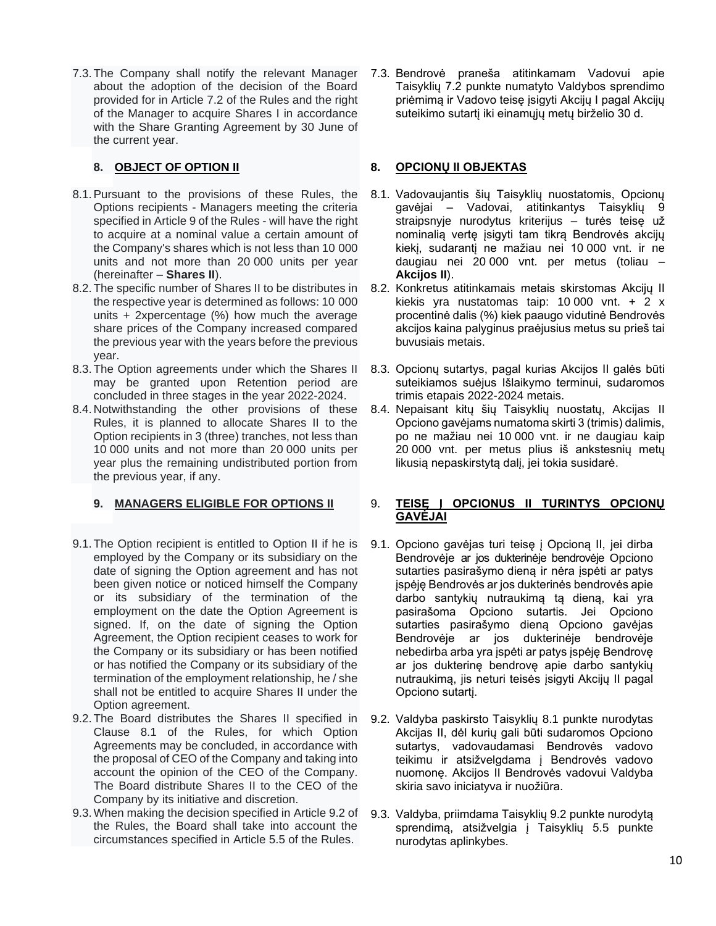7.3.The Company shall notify the relevant Manager about the adoption of the decision of the Board provided for in Article 7.2 of the Rules and the right of the Manager to acquire Shares I in accordance with the Share Granting Agreement by 30 June of the current year.

# **8. OBJECT OF OPTION II**

- 8.1.Pursuant to the provisions of these Rules, the Options recipients - Managers meeting the criteria specified in Article 9 of the Rules - will have the right to acquire at a nominal value a certain amount of the Company's shares which is not less than 10 000 units and not more than 20 000 units per year (hereinafter – **Shares II**).
- 8.2.The specific number of Shares II to be distributes in the respective year is determined as follows: 10 000 units + 2xpercentage (%) how much the average share prices of the Company increased compared the previous year with the years before the previous year.
- 8.3.The Option agreements under which the Shares II may be granted upon Retention period are concluded in three stages in the year 2022-2024.
- 8.4. Notwithstanding the other provisions of these Rules, it is planned to allocate Shares II to the Option recipients in 3 (three) tranches, not less than 10 000 units and not more than 20 000 units per year plus the remaining undistributed portion from the previous year, if any.

## **9. MANAGERS ELIGIBLE FOR OPTIONS II**

- 9.1.The Option recipient is entitled to Option II if he is employed by the Company or its subsidiary on the date of signing the Option agreement and has not been given notice or noticed himself the Company or its subsidiary of the termination of the employment on the date the Option Agreement is signed. If, on the date of signing the Option Agreement, the Option recipient ceases to work for the Company or its subsidiary or has been notified or has notified the Company or its subsidiary of the termination of the employment relationship, he / she shall not be entitled to acquire Shares II under the Option agreement.
- 9.2.The Board distributes the Shares II specified in Clause 8.1 of the Rules, for which Option Agreements may be concluded, in accordance with the proposal of CEO of the Company and taking into account the opinion of the CEO of the Company. The Board distribute Shares II to the CEO of the Company by its initiative and discretion.
- 9.3.When making the decision specified in Article 9.2 of the Rules, the Board shall take into account the circumstances specified in Article 5.5 of the Rules.

7.3. Bendrovė praneša atitinkamam Vadovui apie Taisyklių 7.2 punkte numatyto Valdybos sprendimo priėmimą ir Vadovo teisę įsigyti Akcijų I pagal Akcijų suteikimo sutartį iki einamųjų metų birželio 30 d.

# **8. OPCIONŲ II OBJEKTAS**

- 8.1. Vadovaujantis šių Taisyklių nuostatomis, Opcionų gavėjai – Vadovai, atitinkantys Taisyklių 9 straipsnyje nurodytus kriterijus – turės teisę už nominalią vertę įsigyti tam tikrą Bendrovės akcijų kiekį, sudarantį ne mažiau nei 10 000 vnt. ir ne daugiau nei 20 000 vnt. per metus (toliau – **Akcijos II**).
- 8.2. Konkretus atitinkamais metais skirstomas Akcijų II kiekis yra nustatomas taip: 10 000 vnt.  $+ 2 x$ procentinė dalis (%) kiek paaugo vidutinė Bendrovės akcijos kaina palyginus praėjusius metus su prieš tai buvusiais metais.
- 8.3. Opcionų sutartys, pagal kurias Akcijos II galės būti suteikiamos suėjus Išlaikymo terminui, sudaromos trimis etapais 2022-2024 metais.
- 8.4. Nepaisant kitų šių Taisyklių nuostatų, Akcijas II Opciono gavėjams numatoma skirti 3 (trimis) dalimis, po ne mažiau nei 10 000 vnt. ir ne daugiau kaip 20 000 vnt. per metus plius iš ankstesnių metų likusią nepaskirstytą dalį, jei tokia susidarė.

#### 9. **TEISĘ Į OPCIONUS II TURINTYS OPCIONŲ GAVĖJAI**

- 9.1. Opciono gavėjas turi teisę į Opcioną II, jei dirba Bendrovėje ar jos dukterinėje bendrovėje Opciono sutarties pasirašymo dieną ir nėra įspėti ar patys įspėję Bendrovės ar jos dukterinės bendrovės apie darbo santykių nutraukimą tą dieną, kai yra pasirašoma Opciono sutartis. Jei Opciono sutarties pasirašymo dieną Opciono gavėjas Bendrovėje ar jos dukterinėje bendrovėje nebedirba arba yra įspėti ar patys įspėję Bendrovę ar jos dukterinę bendrovę apie darbo santykių nutraukimą, jis neturi teisės įsigyti Akcijų II pagal Opciono sutartį.
- 9.2. Valdyba paskirsto Taisyklių 8.1 punkte nurodytas Akcijas II, dėl kurių gali būti sudaromos Opciono sutartys, vadovaudamasi Bendrovės vadovo teikimu ir atsižvelgdama į Bendrovės vadovo nuomonę. Akcijos II Bendrovės vadovui Valdyba skiria savo iniciatyva ir nuožiūra.
- 9.3. Valdyba, priimdama Taisyklių 9.2 punkte nurodytą sprendimą, atsižvelgia į Taisyklių 5.5 punkte nurodytas aplinkybes.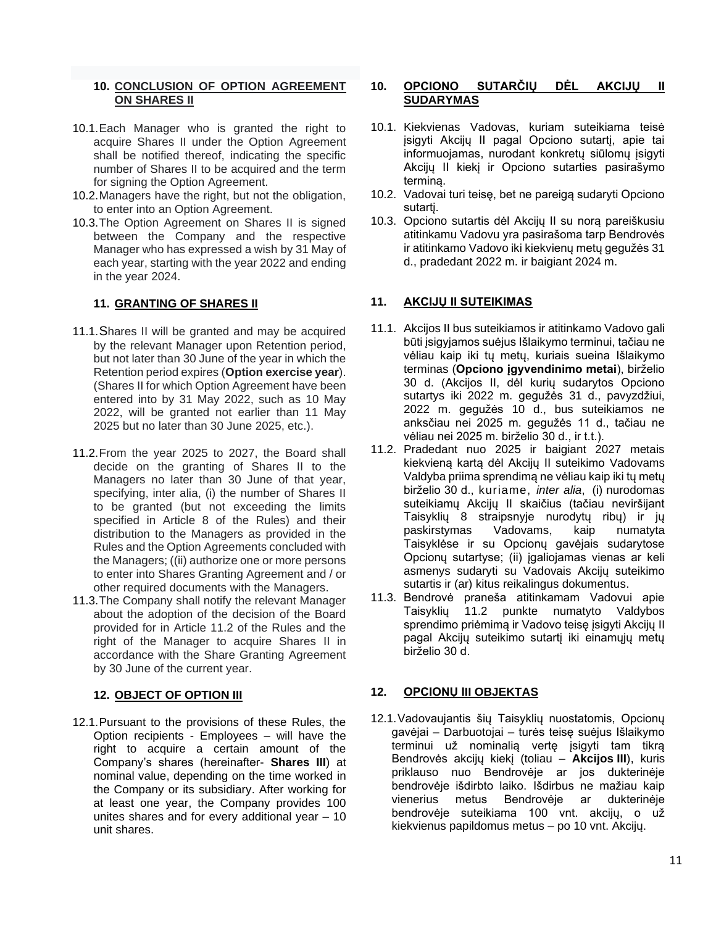## **10. CONCLUSION OF OPTION AGREEMENT ON SHARES II**

- 10.1.Each Manager who is granted the right to acquire Shares II under the Option Agreement shall be notified thereof, indicating the specific number of Shares II to be acquired and the term for signing the Option Agreement.
- 10.2.Managers have the right, but not the obligation, to enter into an Option Agreement.
- 10.3.The Option Agreement on Shares II is signed between the Company and the respective Manager who has expressed a wish by 31 May of each year, starting with the year 2022 and ending in the year 2024.

#### **11. GRANTING OF SHARES II**

- 11.1.Shares II will be granted and may be acquired by the relevant Manager upon Retention period, but not later than 30 June of the year in which the Retention period expires (**Option exercise year**). (Shares II for which Option Agreement have been entered into by 31 May 2022, such as 10 May 2022, will be granted not earlier than 11 May 2025 but no later than 30 June 2025, etc.).
- 11.2.From the year 2025 to 2027, the Board shall decide on the granting of Shares II to the Managers no later than 30 June of that year, specifying, inter alia, (i) the number of Shares II to be granted (but not exceeding the limits specified in Article 8 of the Rules) and their distribution to the Managers as provided in the Rules and the Option Agreements concluded with the Managers; ((ii) authorize one or more persons to enter into Shares Granting Agreement and / or other required documents with the Managers.
- 11.3.The Company shall notify the relevant Manager about the adoption of the decision of the Board provided for in Article 11.2 of the Rules and the right of the Manager to acquire Shares II in accordance with the Share Granting Agreement by 30 June of the current year.

## **12. OBJECT OF OPTION III**

12.1.Pursuant to the provisions of these Rules, the Option recipients - Employees – will have the right to acquire a certain amount of the Company's shares (hereinafter- **Shares III**) at nominal value, depending on the time worked in the Company or its subsidiary. After working for at least one year, the Company provides 100 unites shares and for every additional year – 10 unit shares.

# **10. OPCIONO SUTARČIŲ DĖL AKCIJŲ II SUDARYMAS**

- 10.1. Kiekvienas Vadovas, kuriam suteikiama teisė įsigyti Akcijų II pagal Opciono sutartį, apie tai informuojamas, nurodant konkretų siūlomų įsigyti Akcijų II kiekį ir Opciono sutarties pasirašymo terminą.
- 10.2. Vadovai turi teisę, bet ne pareigą sudaryti Opciono sutartį.
- 10.3. Opciono sutartis dėl Akcijų II su norą pareiškusiu atitinkamu Vadovu yra pasirašoma tarp Bendrovės ir atitinkamo Vadovo iki kiekvienų metų gegužės 31 d., pradedant 2022 m. ir baigiant 2024 m.

# **11. AKCIJŲ II SUTEIKIMAS**

- 11.1. Akcijos II bus suteikiamos ir atitinkamo Vadovo gali būti įsigyjamos suėjus Išlaikymo terminui, tačiau ne vėliau kaip iki tų metų, kuriais sueina Išlaikymo terminas (**Opciono įgyvendinimo metai**), birželio 30 d. (Akcijos II, dėl kurių sudarytos Opciono sutartys iki 2022 m. gegužės 31 d., pavyzdžiui, 2022 m. gegužės 10 d., bus suteikiamos ne anksčiau nei 2025 m. gegužės 11 d., tačiau ne vėliau nei 2025 m. birželio 30 d., ir t.t.).
- 11.2. Pradedant nuo 2025 ir baigiant 2027 metais kiekvieną kartą dėl Akcijų II suteikimo Vadovams Valdyba priima sprendimą ne vėliau kaip iki tų metų birželio 30 d., kuriame, *inter alia*, (i) nurodomas suteikiamų Akcijų II skaičius (tačiau neviršijant Taisyklių 8 straipsnyje nurodytų ribų) ir jų paskirstymas Vadovams, kaip numatyta Taisyklėse ir su Opcionų gavėjais sudarytose Opcionų sutartyse; (ii) įgaliojamas vienas ar keli asmenys sudaryti su Vadovais Akcijų suteikimo sutartis ir (ar) kitus reikalingus dokumentus.
- 11.3. Bendrovė praneša atitinkamam Vadovui apie Taisyklių 11.2 punkte numatyto Valdybos sprendimo priėmimą ir Vadovo teisę įsigyti Akcijų II pagal Akcijų suteikimo sutartį iki einamųjų metų birželio 30 d.

# **12. OPCIONŲ III OBJEKTAS**

12.1.Vadovaujantis šių Taisyklių nuostatomis, Opcionų gavėjai – Darbuotojai – turės teisę suėjus Išlaikymo terminui už nominalią vertę įsigyti tam tikrą Bendrovės akcijų kiekį (toliau – **Akcijos III**), kuris priklauso nuo Bendrovėje ar jos dukterinėje bendrovėje išdirbto laiko. Išdirbus ne mažiau kaip vienerius metus Bendrovėje ar dukterinėje bendrovėje suteikiama 100 vnt. akcijų, o už kiekvienus papildomus metus – po 10 vnt. Akcijų.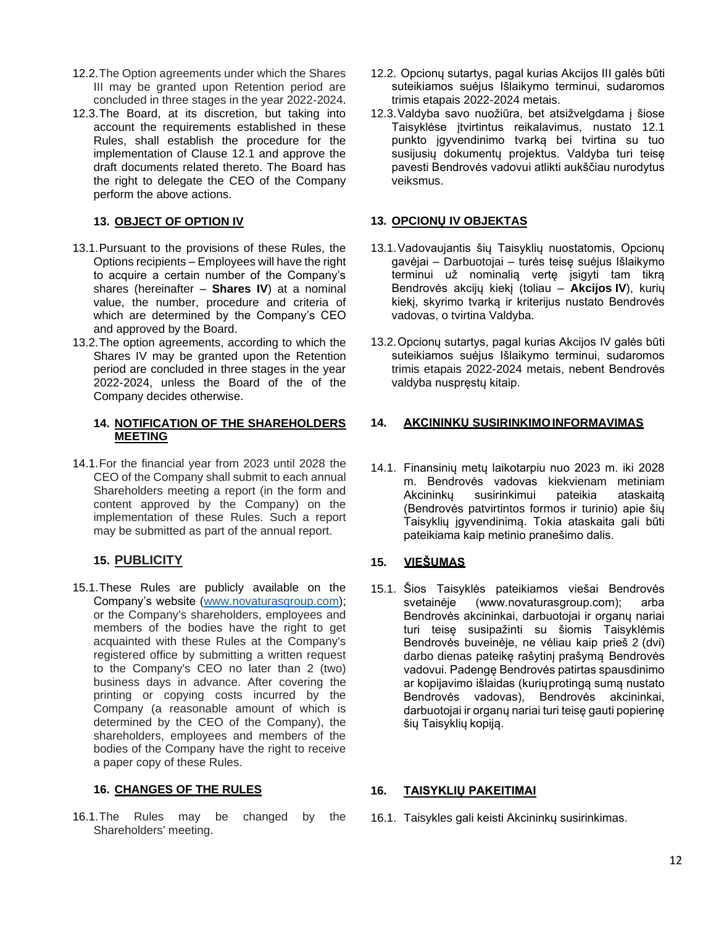- 12.2.The Option agreements under which the Shares III may be granted upon Retention period are concluded in three stages in the year 2022-2024.
- 12.3.The Board, at its discretion, but taking into account the requirements established in these Rules, shall establish the procedure for the implementation of Clause 12.1 and approve the draft documents related thereto. The Board has the right to delegate the CEO of the Company perform the above actions.

# **13. OBJECT OF OPTION IV**

- 13.1.Pursuant to the provisions of these Rules, the Options recipients – Employees will have the right to acquire a certain number of the Company's shares (hereinafter – **Shares IV**) at a nominal value, the number, procedure and criteria of which are determined by the Company's CEO and approved by the Board.
- 13.2.The option agreements, according to which the Shares IV may be granted upon the Retention period are concluded in three stages in the year 2022-2024, unless the Board of the of the Company decides otherwise.

#### **14. NOTIFICATION OF THE SHAREHOLDERS MEETING**

14.1.For the financial year from 2023 until 2028 the CEO of the Company shall submit to each annual Shareholders meeting a report (in the form and content approved by the Company) on the implementation of these Rules. Such a report may be submitted as part of the annual report.

# **15. PUBLICITY**

15.1.These Rules are publicly available on the Company's website [\(www.novaturasgroup.com\)](http://www.novaturasgroup.com/); or the Company's shareholders, employees and members of the bodies have the right to get acquainted with these Rules at the Company's registered office by submitting a written request to the Company's CEO no later than 2 (two) business days in advance. After covering the printing or copying costs incurred by the Company (a reasonable amount of which is determined by the CEO of the Company), the shareholders, employees and members of the bodies of the Company have the right to receive a paper copy of these Rules.

## **16. CHANGES OF THE RULES**

16.1.The Rules may be changed by the Shareholders' meeting.

- 12.2. Opcionų sutartys, pagal kurias Akcijos III galės būti suteikiamos suėjus Išlaikymo terminui, sudaromos trimis etapais 2022-2024 metais.
- 12.3.Valdyba savo nuožiūra, bet atsižvelgdama į šiose Taisyklėse įtvirtintus reikalavimus, nustato 12.1 punkto įgyvendinimo tvarką bei tvirtina su tuo susijusių dokumentų projektus. Valdyba turi teisę pavesti Bendrovės vadovui atlikti aukščiau nurodytus veiksmus.

## **13. OPCIONŲ IV OBJEKTAS**

- 13.1.Vadovaujantis šių Taisyklių nuostatomis, Opcionų gavėjai – Darbuotojai – turės teisę suėjus Išlaikymo terminui už nominalią vertę įsigyti tam tikrą Bendrovės akcijų kiekį (toliau – **Akcijos IV**), kurių kiekį, skyrimo tvarką ir kriterijus nustato Bendrovės vadovas, o tvirtina Valdyba.
- 13.2.Opcionų sutartys, pagal kurias Akcijos IV galės būti suteikiamos suėjus Išlaikymo terminui, sudaromos trimis etapais 2022-2024 metais, nebent Bendrovės valdyba nuspręstų kitaip.

#### **14. AKCININKŲ SUSIRINKIMOINFORMAVIMAS**

14.1. Finansinių metų laikotarpiu nuo 2023 m. iki 2028 m. Bendrovės vadovas kiekvienam metiniam Akcininkų susirinkimui pateikia ataskaitą (Bendrovės patvirtintos formos ir turinio) apie šių Taisyklių įgyvendinimą. Tokia ataskaita gali būti pateikiama kaip metinio pranešimo dalis.

## **15. VIEŠUMAS**

15.1. Šios Taisyklės pateikiamos viešai Bendrovės svetainėje (www.novaturasgroup.com); arba Bendrovės akcininkai, darbuotojai ir organų nariai turi teisę susipažinti su šiomis Taisyklėmis Bendrovės buveinėje, ne vėliau kaip prieš 2 (dvi) darbo dienas pateikę rašytinį prašymą Bendrovės vadovui. Padengę Bendrovės patirtas spausdinimo ar kopijavimo išlaidas (kuriųprotingą sumą nustato Bendrovės vadovas), Bendrovės akcininkai, darbuotojai ir organų nariai turi teisę gauti popierinę šių Taisyklių kopiją.

#### **16. TAISYKLIŲ PAKEITIMAI**

16.1. Taisykles gali keisti Akcininkų susirinkimas.